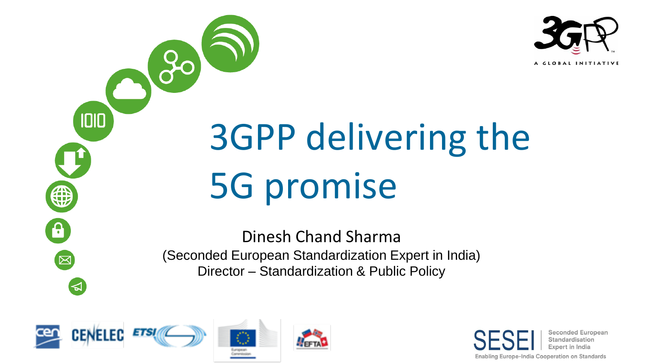

# 3GPP delivering the 5G promise

Dinesh Chand Sharma (Seconded European Standardization Expert in India) Director – Standardization & Public Policy



 $30$ 

1010

₩

6

 $\mathbb{\overline{X}}$ 

 $\blacktriangleright$ 

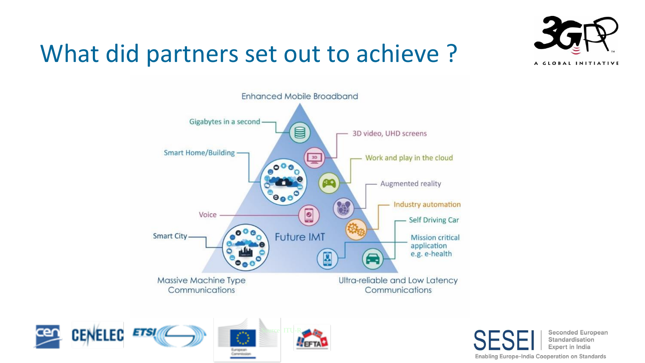### What did partners set out to achieve ?







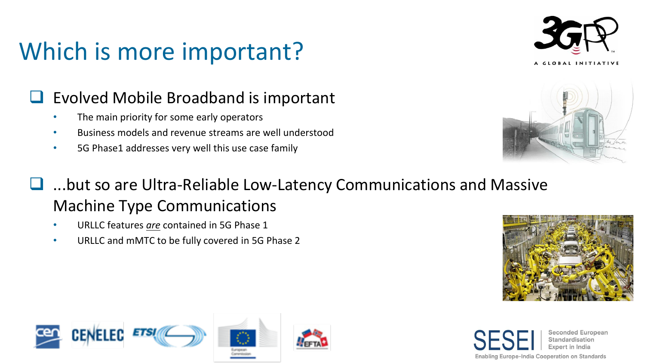### Which is more important?



#### ❑ Evolved Mobile Broadband is important

- The main priority for some early operators
- Business models and revenue streams are well understood
- 5G Phase1 addresses very well this use case family



- ...but so are Ultra-Reliable Low-Latency Communications and Massive Machine Type Communications
	- URLLC features *are* contained in 5G Phase 1
	- URLLC and mMTC to be fully covered in 5G Phase 2





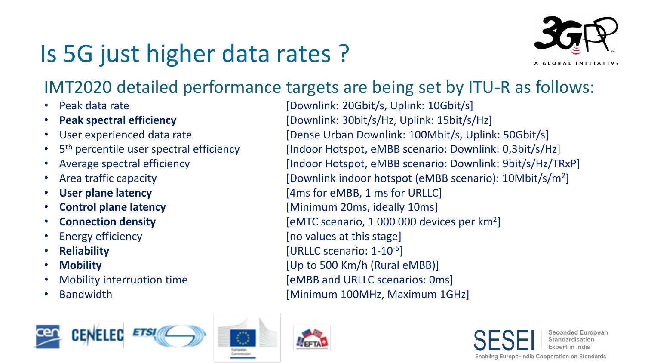## Is 5G just higher data rates ?



#### IMT2020 detailed performance targets are being set by ITU-R as follows:

- 
- 
- 
- 5<sup>th</sup> percentile user spectral efficiency
- 
- 
- 
- 
- 
- 
- 
- 
- 
- 

Peak data rate **[Downlink: 20Gbit/s, Uplink: 10Gbit/s]** • **Peak spectral efficiency** [Downlink: 30bit/s/Hz, Uplink: 15bit/s/Hz] • User experienced data rate [Dense Urban Downlink: 100Mbit/s, Uplink: 50Gbit/s] [Indoor Hotspot, eMBB scenario: Downlink: 0,3bit/s/Hz] • Average spectral efficiency [Indoor Hotspot, eMBB scenario: Downlink: 9bit/s/Hz/TRxP] • Area traffic capacity **butch indoor hotspot (eMBB scenario)**: 10Mbit/s/m<sup>2</sup>] • **User plane latency** [4ms for eMBB, 1 ms for URLLC] • **Control plane latency** [Minimum 20ms, ideally 10ms] • **Connection density EXECUTE:** [eMTC scenario, 1 000 000 devices per km<sup>2</sup>] **Energy efficiency** Energy efficiency **and the stage** at this stage at this stage at this stage at this stage and the stage and the stage and the stage and the stage and the stage and the stage and the stage and the stage • **Reliability in the latter of the COVID-10-5** [URLLC scenario: 1-10<sup>-5</sup>] • **Mobility by Community Community Community Community Community Community**  $[Up to 500 Km/h (Rural eMBB)]$ Mobility interruption time **[eMBB** and URLLC scenarios: 0ms] • Bandwidth **Example 2018** [Minimum 100MHz, Maximum 1GHz]





**Seconded European** Standardisation Expert in India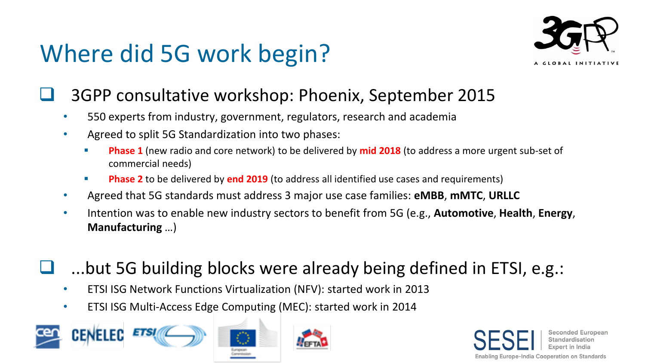### Where did 5G work begin?



#### ❑ 3GPP consultative workshop: Phoenix, September 2015

- 550 experts from industry, government, regulators, research and academia
- Agreed to split 5G Standardization into two phases:
	- **Phase 1** (new radio and core network) to be delivered by **mid 2018** (to address a more urgent sub-set of commercial needs)
	- **Phase 2** to be delivered by **end 2019** (to address all identified use cases and requirements)
- Agreed that 5G standards must address 3 major use case families: **eMBB**, **mMTC**, **URLLC**
- Intention was to enable new industry sectors to benefit from 5G (e.g., **Automotive**, **Health**, **Energy**, **Manufacturing** …)
- ...but 5G building blocks were already being defined in ETSI, e.g.:
	- ETSI ISG Network Functions Virtualization (NFV): started work in 2013
	- ETSI ISG Multi-Access Edge Computing (MEC): started work in 2014



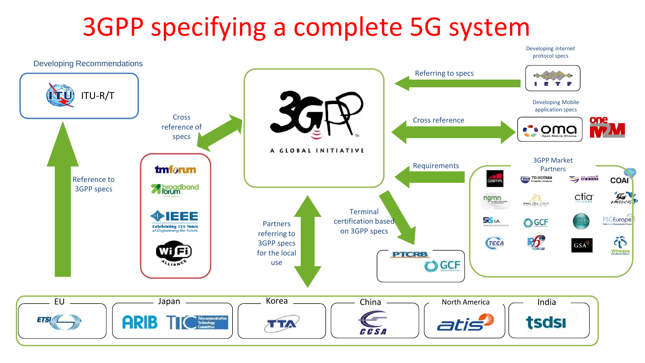### 3GPP specifying a complete 5G system

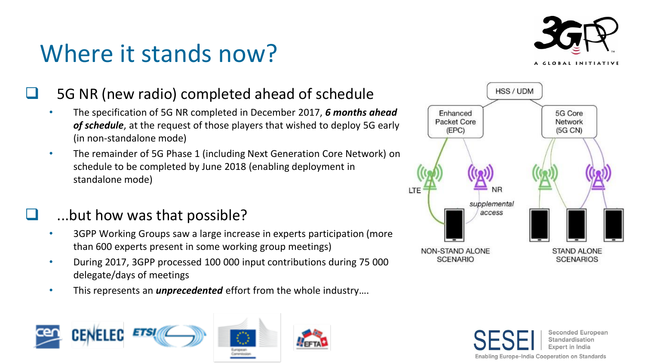### Where it stands now?



#### 5G NR (new radio) completed ahead of schedule

- The specification of 5G NR completed in December 2017, *6 months ahead of schedule*, at the request of those players that wished to deploy 5G early (in non-standalone mode)
- The remainder of 5G Phase 1 (including Next Generation Core Network) on schedule to be completed by June 2018 (enabling deployment in standalone mode)

#### ...but how was that possible?

- 3GPP Working Groups saw a large increase in experts participation (more than 600 experts present in some working group meetings)
- During 2017, 3GPP processed 100 000 input contributions during 75 000 delegate/days of meetings
- This represents an *unprecedented* effort from the whole industry….





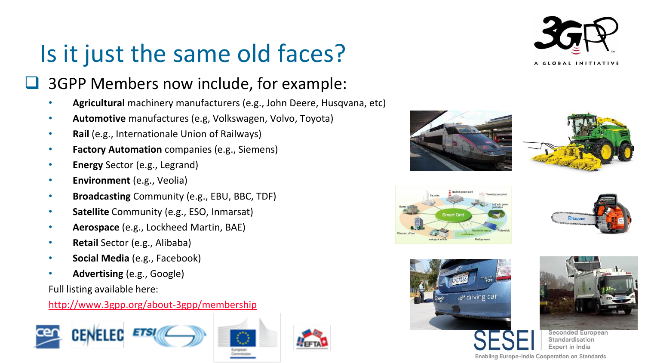### Is it just the same old faces?



#### ❑ 3GPP Members now include, for example:

- **Agricultural** machinery manufacturers (e.g., John Deere, Husqvana, etc)
- **Automotive** manufactures (e.g, Volkswagen, Volvo, Toyota)
- **Rail** (e.g., Internationale Union of Railways)
- **Factory Automation** companies (e.g., Siemens)
- **Energy** Sector (e.g., Legrand)
- **Environment** (e.g., Veolia)
- **Broadcasting** Community (e.g., EBU, BBC, TDF)
- **Satellite** Community (e.g., ESO, Inmarsat)
- **Aerospace** (e.g., Lockheed Martin, BAE)
- **Retail** Sector (e.g., Alibaba)
- **Social Media** (e.g., Facebook)
- **Advertising** (e.g., Google)

Full listing available here:

#### <http://www.3gpp.org/about-3gpp/membership>



















**Seconded European** Standardisation Expert in India

Enabling Europe-India Cooperation on Standards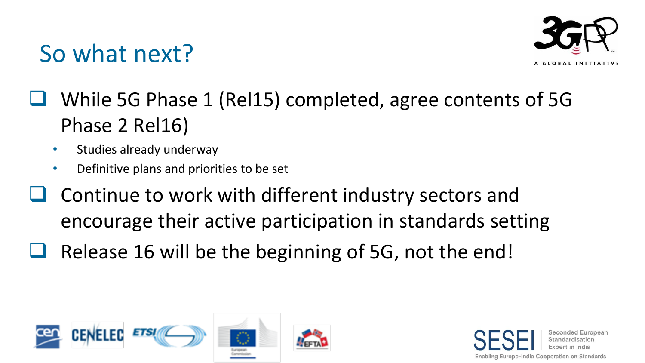### So what next?



- ❑ While 5G Phase 1 (Rel15) completed, agree contents of 5G Phase 2 Rel16)
	- Studies already underway
	- Definitive plans and priorities to be set
- ❑ Continue to work with different industry sectors and encourage their active participation in standards setting
- Release 16 will be the beginning of 5G, not the end!



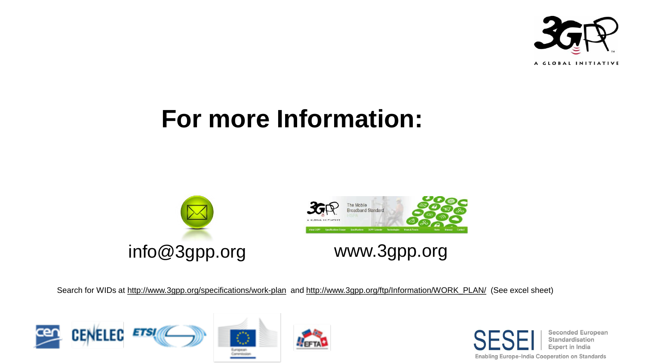

### **For more Information:**



Search for WIDs at <http://www.3gpp.org/specifications/work-plan> and [http://www.3gpp.org/ftp/Information/WORK\\_PLAN/](http://www.3gpp.org/ftp/Information/WORK_PLAN/) (See excel sheet)